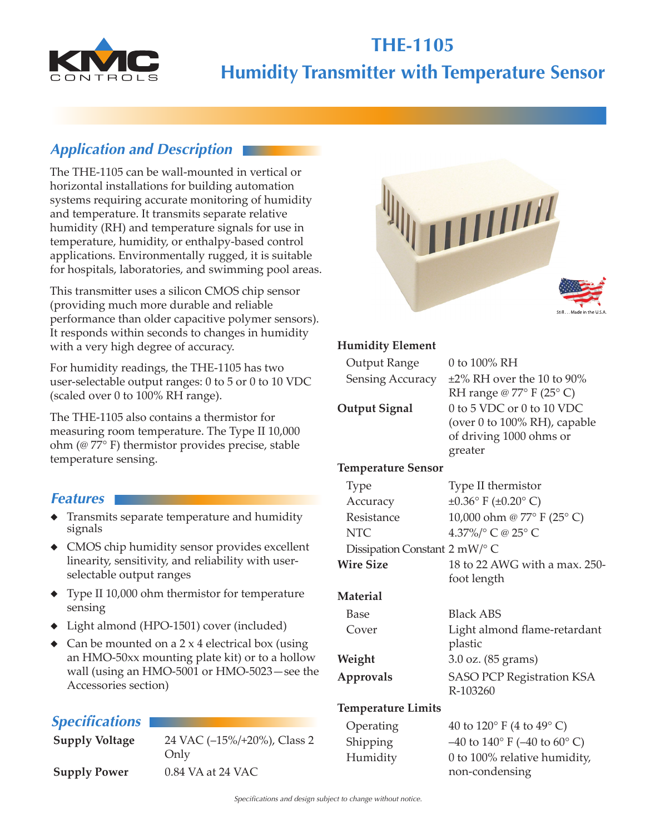

# **THE-1105 Humidity Transmitter with Temperature Sensor**

# *Application and Description*

The THE-1105 can be wall-mounted in vertical or horizontal installations for building automation systems requiring accurate monitoring of humidity and temperature. It transmits separate relative humidity (RH) and temperature signals for use in temperature, humidity, or enthalpy-based control applications. Environmentally rugged, it is suitable for hospitals, laboratories, and swimming pool areas.

This transmitter uses a silicon CMOS chip sensor (providing much more durable and reliable performance than older capacitive polymer sensors). It responds within seconds to changes in humidity with a very high degree of accuracy.

For humidity readings, the THE-1105 has two user-selectable output ranges: 0 to 5 or 0 to 10 VDC (scaled over 0 to 100% RH range).

The THE-1105 also contains a thermistor for measuring room temperature. The Type II 10,000 ohm (@ 77° F) thermistor provides precise, stable temperature sensing.

### *Features*

- ◆ Transmits separate temperature and humidity signals
- ◆ CMOS chip humidity sensor provides excellent linearity, sensitivity, and reliability with userselectable output ranges
- ◆ Type II 10,000 ohm thermistor for temperature sensing
- ◆ Light almond (HPO-1501) cover (included)
- $\triangle$  Can be mounted on a 2 x 4 electrical box (using an HMO-50xx mounting plate kit) or to a hollow wall (using an HMO-5001 or HMO-5023—see the Accessories section)

## *Specifications*

**Supply Voltage** 24 VAC (–15%/+20%), Class 2 Only

**Supply Power** 0.84 VA at 24 VAC

#### **Humidity Element**

| 0 to 100% RH                                |
|---------------------------------------------|
| $\pm 2\%$ RH over the 10 to 90%             |
| RH range @ $77^{\circ}$ F (25 $^{\circ}$ C) |
| 0 to 5 VDC or 0 to 10 VDC                   |
| (over 0 to 100% RH), capable                |
| of driving 1000 ohms or                     |
| greater                                     |
|                                             |

#### **Temperature Sensor**

| <b>Type</b>                   | Type II thermistor               |
|-------------------------------|----------------------------------|
| Accuracy                      | $\pm 0.36$ °F ( $\pm 0.20$ °C)   |
| Resistance                    | 10,000 ohm @ 77° F (25° C)       |
| <b>NTC</b>                    | 4.37%/° C @ 25° C                |
| Dissipation Constant 2 mW/° C |                                  |
| <b>Wire Size</b>              | 18 to 22 AWG with a max. 250-    |
|                               | foot length                      |
| Material                      |                                  |
| Base                          | <b>Black ABS</b>                 |
| Cover                         | Light almond flame-retardant     |
|                               | plastic                          |
| Weight                        | 3.0 oz. (85 grams)               |
| <b>Approvals</b>              | <b>SASO PCP Registration KSA</b> |
|                               | R-103260                         |

#### **Temperature Limits**

| Operating | 40 to 120 $\degree$ F (4 to 49 $\degree$ C)         |
|-----------|-----------------------------------------------------|
| Shipping  | $-40$ to $140^{\circ}$ F ( $-40$ to $60^{\circ}$ C) |
| Humidity  | 0 to 100% relative humidity,                        |
|           | non-condensing                                      |